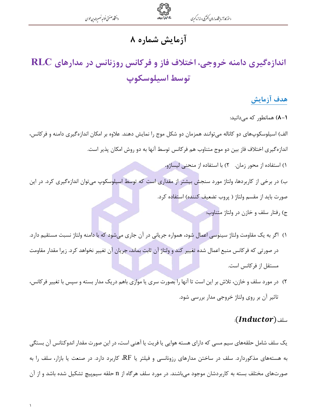### **آزمایش شماره ۸**

# اندازهگیری دامنه خروجی، اختلاف فاز و فرکانس روزنانس در مدارهای RLC توسط اسيلوسكوپ

#### هدف آزمایش

(-A) همانطور که می دانید:

الف) اسیلوسکوپهای دو کاناله میتوانند همزمان دو شکل موج را نمایش دهند. علاوه بر امکان اندازهگیری دامنه و فرکانس، اندازهگیری اختلاف فاز بین دو موج متناوب هم فرکانس توسط آنها به دو روش امکان پذیر است.

- ۱) استفاده از محور زمان. ۲) با استفاده از منحنی لیساژو.
- ب) در برخی از کاربردها، ولتاژ مورد سنجش بیشتر از مقداری است که توسط اسپلوسکوپ می توان اندازهگیری کرد. در این صورت بايد از مقسم ولتاژ ( پروب تضعيف كننده) استفاده كرد.
	- ج) رفتار سلف و خازن در ولتاژ متناوب:
- ۱) اگر به یک مقاومت ولتاژ سینوسی اعمال شود، همواره جریانی در آن جاری میشود که با دامنه ولتاژ نسبت مستقیم دارد. در صورتی که فرکانس منبع اعمال شده تغییر کند و ولتاژ آن ثابت بماند، جریان آن تغییر نخواهد کرد. زیرا مقدار مقاومت مستقل از فركانس است.
- ۲) در مورد سلف و خازن، تلاش بر این است تا آنها را بصورت سری یا موازی باهم دریک مدار بسته و سپس با تغییر فرکانس، تاثیر آن بر روی ولتاژ خروجی مدار بررسی شود.

#### سلف (Inductor):

یک سلف شامل حلقههای سیم مسی که دارای هسته هوایی یا فریت یا آهنی است، در این صورت مقدار اندوکتانس آن بستگی به هستههای مذکوردارد. سلف در ساختن مدارهای رزونانسی و فیلتر یا RF، کاربرد دارد. در صنعت یا بازار، سلف را به صورتهای مختلف بسته به کاربردشان موجود میباشند. در مورد سلف هرگاه از n حلقه سیمپیچ تشکیل شده باشد و از آن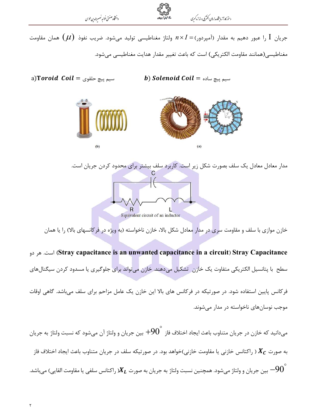دانتخاه صنعتى خواجه تصسرالدين طوسى



جریان  $\mathrm I$  را عبور دهیم به مقدار (آمپردور) $I=\alpha\times I$  ولتاژ مغناطیسی تولید میشود. ضریب نفوذ  $(\mu)$  همان مقاومت مغناطیسی(همانند مقاومت الکتریکی) است که باعث تغییر مقدار هدایت مغناطیسی می شود.

a)Toroid Coil = سیم پیچ حلقوی **b) Solenoid Coil** = سيم پيچ ساده



مدار معادل معادل یک سلف بصورت شکل زیر است. کاربرد سلف بیشتر برای محدود کردن جریان است.<br>C Equivalent circuit of an inductor

خازن موازی با سلف و مقاومت س<mark>ری</mark> در مدار معادل شکل بالا، خازن ناخواسته (به ویژه در فرکانسهای بالا) را یا همان

Stray capacitance is an unwanted capacitance in a circuit) Stray Capacitance است. هر دو سطح با پتانسیل الکتریکی متفاوت یک خازن تشکیل می دهند. خازن می تواند برای جلوگیری یا مسدود کردن سیگنالهای فرکانس پایین استفاده شود. در صورتیکه در فرکانس های بالا این خازن یک عامل مزاحم برای سلف میباشد. گاهی اوقات موجب نوسانهای ناخواسته در مدار می شوند.

می،دانید که خازن در جریان متناوب باعث ایجاد اختلاف فاز  $\ket{90}^{\circ}$  بین جریان و ولتاژ آن میشود که نسبت ولتاژ به جریان به صورت  $X_C$  ( راکتانس خازنی یا مقاومت خازنی)خواهد بود. در صورتیکه سلف در جریان متناوب باعث ایجاد اختلاف فاز بین جریان و ولتاژ میشود. همچنین نسبت ولتاژ به جریان به صورت  $\bm{X_L}$ ( راکتانس سلفی یا مقاومت القایی) میباشد.  $-90^{\circ}$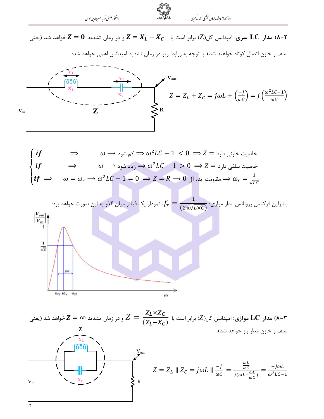دان<br>ثاه صنعتی خواجه نصسرالدین طوسی



مدار  ${\rm LC}$  سری: امپدانس کل $Z$ ) برابر است با  $X_{L}-X_{L}-Z=Z$  و در زمان تشدید  $Z=0$ خواهد شد (یعنی (A-۲

سلف و خازن اتصال کوتاه خواهند شد). با توجه به روابط زیر در زمان تشدید امپدانس اهمی خواهد شد:







مدار  ${\bf LC}$  موازی: امپدانس کل $(Z)$ ) برابر است با  $Z=\dfrac{X_L{\times}X_C}{(X_I-X_C)}$  و در زمان تشدید  ${\bf Z}={\bf Z}$ خواهد شد (یعنی ( ${\bf LC}$ سلف و خازن مدار باز خواهد شد).  $\frac{\mathrm{X_L}}{\mathsf{[OO]}}$  $Z = Z_L \parallel Z_C = j\omega L \parallel \frac{-j}{\omega C} = \frac{\frac{\omega L}{\omega C}}{j(\omega L - \frac{\omega L}{\omega C})} = \frac{-j\omega L}{\omega^2 LC - 1}$  $V_{in}$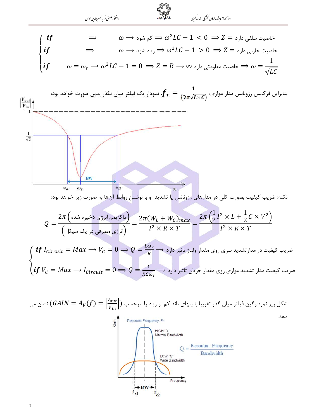$\mathbf{\acute{r}}$ 

$$
\begin{cases}\n\text{if} & \Rightarrow & \omega \to \infty \\
\text{if} & \Rightarrow & \omega^2 L C - 1 < 0 \Rightarrow Z = \infty \\
\text{if} & \Rightarrow & \omega^2 L C - 1 > 0 \Rightarrow Z = \infty \\
\text{if} & \omega = \omega_r \to \omega^2 L C - 1 = 0 \Rightarrow Z = R \to \infty\n\end{cases}
$$



$$
\begin{cases}\n\text{if } l_{Circuit} = Max \rightarrow V_C = 0 \Rightarrow Q = \frac{L\omega_r}{R} \rightarrow 0 \\
\text{if } V_C = Max \rightarrow l_{Circuit} = 0 \Rightarrow Q = \frac{1}{RC\omega_r} \rightarrow 0\n\end{cases}
$$

شکل زیر نمودارگین فیلتر میان گذر تقریبا با پنهای باند کم و زیاد را برحسب 
$$
(GAIN = A_V(f) = \left|\frac{V_{out}}{V_{in}}\right|)
$$

دهد.

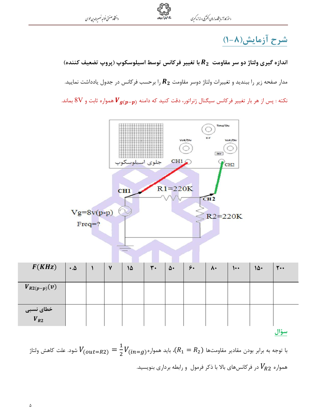دانتثاه صنعتى خولعه نصيرالدين طوسى



### شرح آزمایش(۸-۱)

اندازه گیری ولتاژ دو سر مقاومت  $R_2$  با تغییر فرکانس توسط اسیلوسکوپ (پروپ تضعیف کننده) مدار صفحه زیر را ببندید و تغییرات ولتاژ دوسر مقاومت  $\bm{R}_2$  را برحسب فرکانس در جدول یادداشت نمایید. نکته : پس از هر بار تغییر فرکانس سیگنال ژنراتور، دقت کنید که دامنه  $\bm V_{\bm g(\bm p - \bm p)}$  همواره ثابت و  $8\rm V$  بماند.



با توجه به برابر بودن مقادیر مقاومتها (ی
$$
R_1 = R_2
$$
)، باید همواره ( $V_{(out=R2)} = \frac{1}{2} V_{(in=g)}$ شود. علت کاهش ولاتاژ
$$
V_{R2}
$$
همواره ورکانسهای بالا با ذکر فرمول و رابطه برداری بنویسید.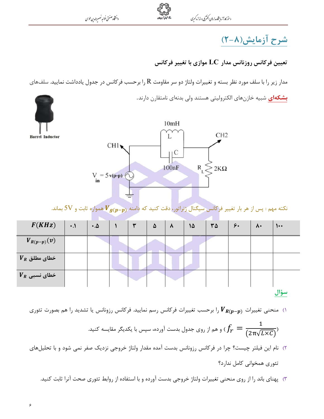دانتثاه صنعتى خواجه نصسيرالدين طوسى



## شرح آزمایش(۸-۲)

تعیین فرکانس روزنانس مدار  ${\rm LC}$  موازی با تغییر فرکانس

مدار زیر را با سلف مورد نظر بسته و تغییرات ولتاژ دو سر مقاومت  ${\rm R}$  را برحسب فرکانس در جدول یادداشت نمایید. سلفهای **بشكهاى** شبيه خازنهاى الكتروليتى هستند ولى بدنهاى نامتقارن دارند.

| 10mH<br>CH <sub>2</sub><br>L<br><b>Barrel Inductor</b><br>CH1<br>$\mathcal{C}$<br>$R_{L}$<br>100nF<br>$2K\Omega$<br>$V = 5v(p-p)$<br>نکته مهم : پس از هر بار تغییر فرکانس سیگنال ژنراتور، دقت کنید که دامنه $\bm V_{\bm g(\bm p-\bm p)}$ همواره ثابت و 5V بماند. |           |                    |  |   |          |           |    |                        |               |              |                               |  |
|------------------------------------------------------------------------------------------------------------------------------------------------------------------------------------------------------------------------------------------------------------------|-----------|--------------------|--|---|----------|-----------|----|------------------------|---------------|--------------|-------------------------------|--|
| F(KHz)                                                                                                                                                                                                                                                           | $\ddotsc$ | $\cdot$ . $\Delta$ |  | ٣ | $\Delta$ | $\lambda$ | 15 | $\mathsf{r}\mathsf{a}$ | $\mathcal{F}$ | $\mathsf{A}$ | $\mathsf{L}\bullet\mathsf{L}$ |  |
| $V_{R(p-p)}(v)$                                                                                                                                                                                                                                                  |           |                    |  |   |          |           |    |                        |               |              |                               |  |
| $V_R$ خطای مطلق                                                                                                                                                                                                                                                  |           |                    |  |   |          |           |    |                        |               |              |                               |  |
| $V_R$ خطای نسبی                                                                                                                                                                                                                                                  |           |                    |  |   |          |           |    |                        |               |              |                               |  |
| سؤال<br>ا) منحنی تغییرات $\bm V_{\bm R(\bm p-\bm p)}$ را برحسب تغییرات فرکانس رسم نمایید. فرکانس رزونانس یا تشدید را هم بصورت تئوری<br>و هم از روی جدول بدست آورده، سپس با یکدیگر مقایسه کنید. $f_{r}=\frac{1}{(2\pi\sqrt{L\times{\cal C}})}$                    |           |                    |  |   |          |           |    |                        |               |              |                               |  |

- ۲) نام این فیلتر چیست؟ چرا در فرکانس رزونانس بدست آمده مقدار ولتاژ خروجی نزدیک صفر نمی شود و با تحلیلهای تئوري همخواني كامل ندارد؟
	- ۳) پهنای باند را از روی منحنی تغییرات ولتاژ خروجی بدست آورده و با استفاده از روابط تئوری صحت آنرا ثابت کنید.